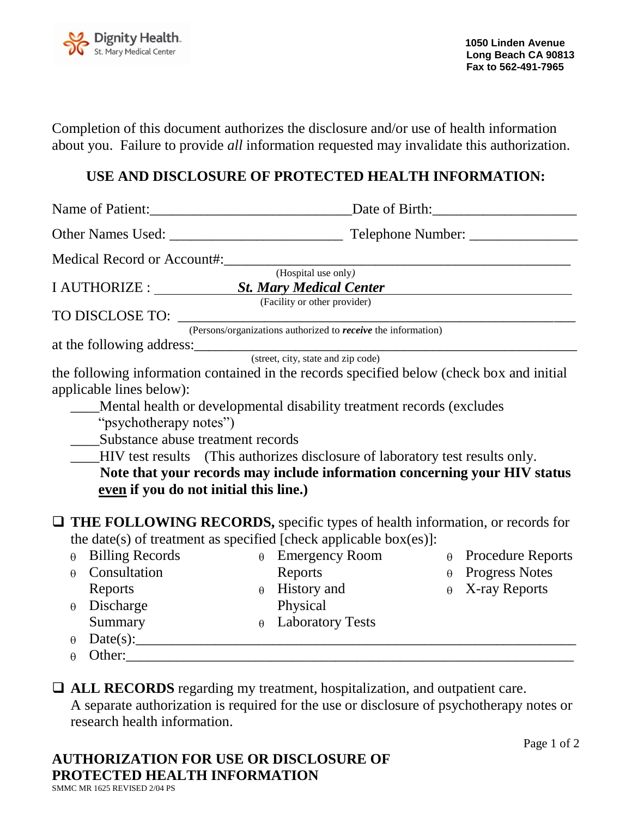

Completion of this document authorizes the disclosure and/or use of health information about you. Failure to provide *all* information requested may invalidate this authorization.

## **USE AND DISCLOSURE OF PROTECTED HEALTH INFORMATION:**

|                                                                                                                                                                                                                                                         | $\frac{1}{(Hospital use only)}$                                      |                                                                           |
|---------------------------------------------------------------------------------------------------------------------------------------------------------------------------------------------------------------------------------------------------------|----------------------------------------------------------------------|---------------------------------------------------------------------------|
| I AUTHORIZE : St. Mary Medical Center                                                                                                                                                                                                                   |                                                                      |                                                                           |
| TO DISCLOSE TO:                                                                                                                                                                                                                                         | (Facility or other provider)                                         |                                                                           |
|                                                                                                                                                                                                                                                         | (Persons/organizations authorized to <i>receive</i> the information) |                                                                           |
|                                                                                                                                                                                                                                                         |                                                                      |                                                                           |
| at the following address: (street, city, state and zip code)                                                                                                                                                                                            |                                                                      |                                                                           |
| the following information contained in the records specified below (check box and initial                                                                                                                                                               |                                                                      |                                                                           |
| applicable lines below):                                                                                                                                                                                                                                |                                                                      |                                                                           |
| Mental health or developmental disability treatment records (excludes<br>"psychotherapy notes")<br>Substance abuse treatment records<br>HIV test results (This authorizes disclosure of laboratory test results only.                                   |                                                                      |                                                                           |
|                                                                                                                                                                                                                                                         |                                                                      | Note that your records may include information concerning your HIV status |
| even if you do not initial this line.)                                                                                                                                                                                                                  |                                                                      |                                                                           |
| $\Box$ THE FOLLOWING RECORDS, specific types of health information, or records for<br>the date(s) of treatment as specified [check applicable box(es)]:                                                                                                 |                                                                      |                                                                           |
| <b>Billing Records</b><br>$\theta$                                                                                                                                                                                                                      | $\theta$ Emergency Room                                              | $\theta$ Procedure Reports                                                |
| Consultation<br>$\theta$                                                                                                                                                                                                                                | Reports                                                              | $\theta$ Progress Notes                                                   |
| Reports                                                                                                                                                                                                                                                 | $\theta$ History and                                                 | X-ray Reports<br>$\theta$                                                 |
| Discharge<br>$\boldsymbol{\theta}$                                                                                                                                                                                                                      | Physical                                                             |                                                                           |
| Summary                                                                                                                                                                                                                                                 | <b>θ</b> Laboratory Tests                                            |                                                                           |
| $\theta$                                                                                                                                                                                                                                                |                                                                      |                                                                           |
| Other: experience of the state of the state of the state of the state of the state of the state of the state of the state of the state of the state of the state of the state of the state of the state of the state of the st<br>$\boldsymbol{\theta}$ |                                                                      |                                                                           |
|                                                                                                                                                                                                                                                         |                                                                      |                                                                           |

 **ALL RECORDS** regarding my treatment, hospitalization, and outpatient care. A separate authorization is required for the use or disclosure of psychotherapy notes or research health information.

**AUTHORIZATION FOR USE OR DISCLOSURE OF PROTECTED HEALTH INFORMATION** SMMC MR 1625 REVISED 2/04 PS